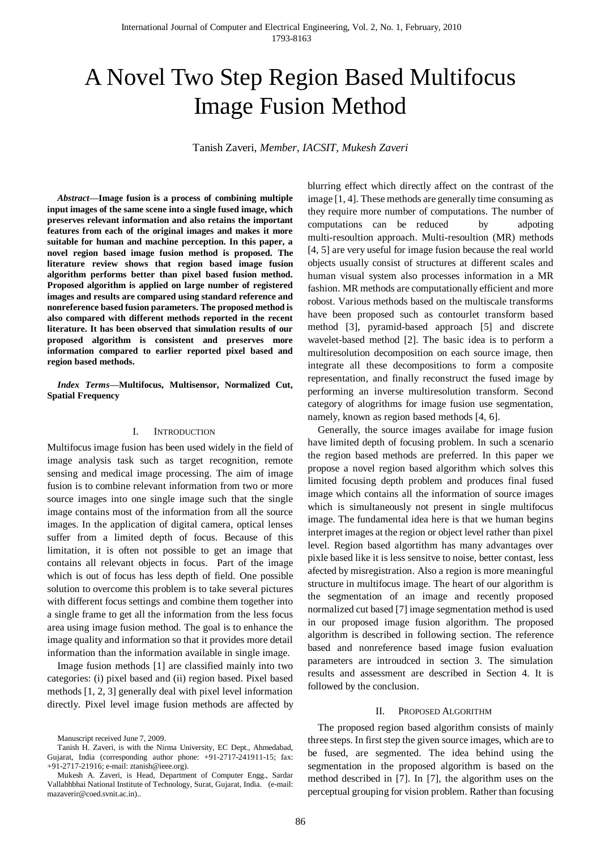# A Novel Two Step Region Based Multifocus Image Fusion Method

Tanish Zaveri, *Member, IACSIT, Mukesh Zaveri*

*Abstract***—Image fusion is a process of combining multiple input images of the same scene into a single fused image, which preserves relevant information and also retains the important features from each of the original images and makes it more suitable for human and machine perception. In this paper, a novel region based image fusion method is proposed. The literature review shows that region based image fusion algorithm performs better than pixel based fusion method. Proposed algorithm is applied on large number of registered images and results are compared using standard reference and nonreference based fusion parameters. The proposed method is also compared with different methods reported in the recent literature. It has been observed that simulation results of our proposed algorithm is consistent and preserves more information compared to earlier reported pixel based and region based methods.**

*Index Terms***—Multifocus, Multisensor, Normalized Cut, Spatial Frequency**

# I. INTRODUCTION

Multifocus image fusion has been used widely in the field of image analysis task such as target recognition, remote sensing and medical image processing. The aim of image fusion is to combine relevant information from two or more source images into one single image such that the single image contains most of the information from all the source images. In the application of digital camera, optical lenses suffer from a limited depth of focus. Because of this limitation, it is often not possible to get an image that contains all relevant objects in focus. Part of the image which is out of focus has less depth of field. One possible solution to overcome this problem is to take several pictures with different focus settings and combine them together into a single frame to get all the information from the less focus area using image fusion method. The goal is to enhance the image quality and information so that it provides more detail information than the information available in single image.

Image fusion methods [1] are classified mainly into two categories: (i) pixel based and (ii) region based. Pixel based methods [1, 2, 3] generally deal with pixel level information directly. Pixel level image fusion methods are affected by blurring effect which directly affect on the contrast of the image [1, 4]. These methods are generally time consuming as they require more number of computations. The number of computations can be reduced by adpoting multi-resoultion approach. Multi-resoultion (MR) methods [4, 5] are very useful for image fusion because the real world objects usually consist of structures at different scales and human visual system also processes information in a MR fashion. MR methods are computationally efficient and more robost. Various methods based on the multiscale transforms have been proposed such as contourlet transform based method [3], pyramid-based approach [5] and discrete wavelet-based method [2]. The basic idea is to perform a multiresolution decomposition on each source image, then integrate all these decompositions to form a composite representation, and finally reconstruct the fused image by performing an inverse multiresolution transform. Second category of alogrithms for image fusion use segmentation, namely, known as region based methods [4, 6].

Generally, the source images availabe for image fusion have limited depth of focusing problem. In such a scenario the region based methods are preferred. In this paper we propose a novel region based algorithm which solves this limited focusing depth problem and produces final fused image which contains all the information of source images which is simultaneously not present in single multifocus image. The fundamental idea here is that we human begins interpret images at the region or object level rather than pixel level. Region based algortithm has many advantages over pixle based like it is less sensitve to noise, better contast, less afected by misregistration. Also a region is more meaningful structure in multifocus image. The heart of our algorithm is the segmentation of an image and recently proposed normalized cut based [7] image segmentation method is used in our proposed image fusion algorithm. The proposed algorithm is described in following section. The reference based and nonreference based image fusion evaluation parameters are introudced in section 3. The simulation results and assessment are described in Section 4. It is followed by the conclusion.

### II. PROPOSED ALGORITHM

The proposed region based algorithm consists of mainly three steps. In first step the given source images, which are to be fused, are segmented. The idea behind using the segmentation in the proposed algorithm is based on the method described in [7]. In [7], the algorithm uses on the perceptual grouping for vision problem. Rather than focusing

Manuscript received June 7, 2009.

Tanish H. Zaveri, is with the Nirma University, EC Dept., Ahmedabad, Gujarat, India (corresponding author phone: +91-2717-241911-15; fax: +91-2717-21916; e-mail: ztanish@ieee.org).

Mukesh A. Zaveri, is Head, Department of Computer Engg., Sardar Vallabhbhai National Institute of Technology, Surat, Gujarat, India. (e-mail: mazaverir@coed.svnit.ac.in)..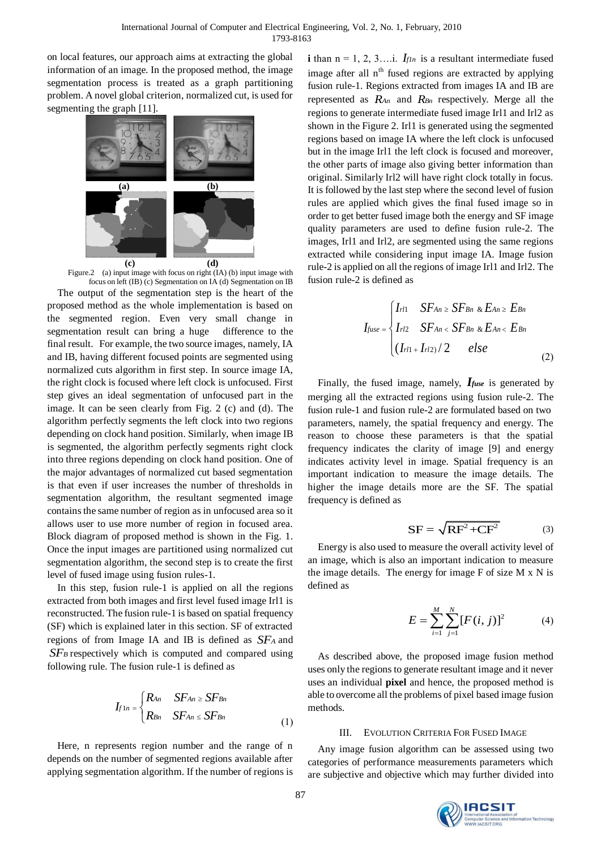on local features, our approach aims at extracting the global information of an image. In the proposed method, the image segmentation process is treated as a graph partitioning problem. A novel global criterion, normalized cut, is used for segmenting the graph [11].



Figure.2 (a) input image with focus on right (IA) (b) input image with focus on left (IB) (c) Segmentation on IA (d) Segmentation on IB The output of the segmentation step is the heart of the proposed method as the whole implementation is based on the segmented region. Even very small change in segmentation result can bring a huge difference to the final result. For example, the two source images, namely, IA and IB, having different focused points are segmented using normalized cuts algorithm in first step. In source image IA, the right clock is focused where left clock is unfocused. First step gives an ideal segmentation of unfocused part in the image. It can be seen clearly from Fig. 2 (c) and (d). The algorithm perfectly segments the left clock into two regions depending on clock hand position. Similarly, when image IB is segmented, the algorithm perfectly segments right clock into three regions depending on clock hand position. One of the major advantages of normalized cut based segmentation is that even if user increases the number of thresholds in segmentation algorithm, the resultant segmented image contains the same number of region as in unfocused area so it allows user to use more number of region in focused area. Block diagram of proposed method is shown in the Fig. 1. Once the input images are partitioned using normalized cut segmentation algorithm, the second step is to create the first level of fused image using fusion rules-1.

In this step, fusion rule-1 is applied on all the regions extracted from both images and first level fused image Irl1 is reconstructed. The fusion rule-1 is based on spatial frequency (SF) which is explained later in this section. SF of extracted regions of from Image IA and IB is defined as *SF<sup>A</sup>* and *SF<sup>B</sup>* respectively which is computed and compared using following rule. The fusion rule-1 is defined as

$$
I_{f1n} = \begin{cases} R_{An} & SF_{An} \ge SF_{Bn} \\ R_{Bn} & SF_{An} \le SF_{Bn} \end{cases}
$$
 (1)

Here, n represents region number and the range of n depends on the number of segmented regions available after applying segmentation algorithm. If the number of regions is

**i** than  $n = 1, 2, 3...$  *I*. *IfIn* is a resultant intermediate fused image after all  $n<sup>th</sup>$  fused regions are extracted by applying fusion rule-1. Regions extracted from images IA and IB are represented as *RAn* and *RBn* respectively. Merge all the regions to generate intermediate fused image Irl1 and Irl2 as shown in the Figure 2. Irl1 is generated using the segmented regions based on image IA where the left clock is unfocused but in the image Irl1 the left clock is focused and moreover, the other parts of image also giving better information than original. Similarly Irl2 will have right clock totally in focus. It is followed by the last step where the second level of fusion rules are applied which gives the final fused image so in order to get better fused image both the energy and SF image quality parameters are used to define fusion rule-2. The images, Irl1 and Irl2, are segmented using the same regions extracted while considering input image IA. Image fusion rule-2 is applied on all the regions of image Irl1 and Irl2. The fusion rule-2 is defined as

$$
I_{fuse} = \begin{cases} I_{rl1} & SF_{An} \ge SF_{Bn} \& E_{An} \ge E_{Bn} \\ I_{rl2} & SF_{An} < SF_{Bn} \& E_{An} < E_{Bn} \\ (I_{rl1} + I_{rl2}) / 2 & else \end{cases}
$$
(2)

Finally, the fused image, namely, *Ifuse* is generated by merging all the extracted regions using fusion rule-2. The fusion rule-1 and fusion rule-2 are formulated based on two parameters, namely, the spatial frequency and energy. The reason to choose these parameters is that the spatial frequency indicates the clarity of image [9] and energy indicates activity level in image. Spatial frequency is an important indication to measure the image details. The higher the image details more are the SF. The spatial frequency is defined as

$$
SF = \sqrt{RF^2 + CF^2}
$$
 (3)

Energy is also used to measure the overall activity level of an image, which is also an important indication to measure the image details. The energy for image F of size M x N is defined as

$$
E = \sum_{i=1}^{M} \sum_{j=1}^{N} [F(i, j)]^2
$$
 (4)

As described above, the proposed image fusion method uses only the regions to generate resultant image and it never uses an individual **pixel** and hence, the proposed method is able to overcome all the problems of pixel based image fusion methods.

## III. EVOLUTION CRITERIA FOR FUSED IMAGE

Any image fusion algorithm can be assessed using two categories of performance measurements parameters which are subjective and objective which may further divided into

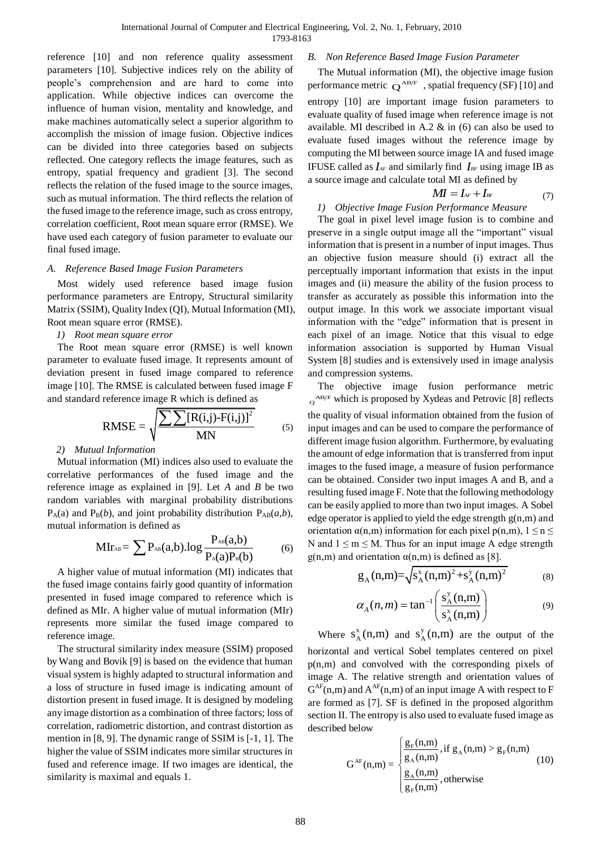reference [10] and non reference quality assessment parameters [10]. Subjective indices rely on the ability of people's comprehension and are hard to come into application. While objective indices can overcome the influence of human vision, mentality and knowledge, and make machines automatically select a superior algorithm to accomplish the mission of image fusion. Objective indices can be divided into three categories based on subjects reflected. One category reflects the image features, such as entropy, spatial frequency and gradient [3]. The second reflects the relation of the fused image to the source images, such as mutual information. The third reflects the relation of the fused image to the reference image, such as cross entropy, correlation coefficient, Root mean square error (RMSE). We have used each category of fusion parameter to evaluate our final fused image.

# *A. Reference Based Image Fusion Parameters*

Most widely used reference based image fusion performance parameters are Entropy, Structural similarity Matrix (SSIM), Quality Index (QI), Mutual Information (MI), Root mean square error (RMSE).

# *1) Root mean square error*

The Root mean square error (RMSE) is well known parameter to evaluate fused image. It represents amount of deviation present in fused image compared to reference image [10]. The RMSE is calculated between fused image F

and standard reference image R which is defined as  
\n
$$
RMSE = \sqrt{\frac{\sum \sum [R(i,j)-F(i,j)]^2}{MN}}
$$
\n(5)

# *2) Mutual Information*

Mutual information (MI) indices also used to evaluate the correlative performances of the fused image and the reference image as explained in [9]. Let *A* and *B* be two random variables with marginal probability distributions  $P_A(a)$  and  $P_B(b)$ , and joint probability distribution  $P_{AB}(a,b)$ ,

mutual information is defined as  
\n
$$
MIr_{AB} = \sum P_{AB}(a,b).log \frac{P_{AB}(a,b)}{P_A(a)P_B(b)}
$$
\n(6)

A higher value of mutual information (MI) indicates that the fused image contains fairly good quantity of information presented in fused image compared to reference which is defined as MIr. A higher value of mutual information (MIr) represents more similar the fused image compared to reference image.

The structural similarity index measure (SSIM) proposed by Wang and Bovik [9] is based on the evidence that human visual system is highly adapted to structural information and a loss of structure in fused image is indicating amount of distortion present in fused image. It is designed by modeling any image distortion as a combination of three factors; loss of correlation, radiometric distortion, and contrast distortion as mention in [8, 9]. The dynamic range of SSIM is [-1, 1]. The higher the value of SSIM indicates more similar structures in fused and reference image. If two images are identical, the similarity is maximal and equals 1.

# *B. Non Reference Based Image Fusion Parameter*

The Mutual information (MI), the objective image fusion performance metric  $Q^{AB/F}$ , spatial frequency (SF) [10] and entropy [10] are important image fusion parameters to evaluate quality of fused image when reference image is not available. MI described in A.2 & in (6) can also be used to evaluate fused images without the reference image by computing the MI between source image IA and fused image IFUSE called as  $I_{AF}$  and similarly find  $I_{BF}$  using image IB as a source image and calculate total MI as defined by

$$
M = I_{AF} + I_{BF} \tag{7}
$$

*1) Objective Image Fusion Performance Measure* The goal in pixel level image fusion is to combine and preserve in a single output image all the "important" visual information that is present in a number of input images. Thus an objective fusion measure should (i) extract all the perceptually important information that exists in the input images and (ii) measure the ability of the fusion process to transfer as accurately as possible this information into the output image. In this work we associate important visual information with the "edge" information that is present in each pixel of an image. Notice that this visual to edge information association is supported by Human Visual System [8] studies and is extensively used in image analysis and compression systems.

The objective image fusion performance metric QAB/F which is proposed by Xydeas and Petrovic [8] reflects the quality of visual information obtained from the fusion of input images and can be used to compare the performance of different image fusion algorithm. Furthermore, by evaluating the amount of edge information that is transferred from input images to the fused image, a measure of fusion performance can be obtained. Consider two input images A and B, and a resulting fused image F. Note that the following methodology can be easily applied to more than two input images. A Sobel edge operator is applied to yield the edge strength g(n,m) and orientation  $\alpha(n,m)$  information for each pixel  $p(n,m)$ ,  $1 \le n \le$ N and  $1 \le m \le M$ . Thus for an input image A edge strength  $g(n,m)$  and orientation  $\alpha(n,m)$  is defined as [8].

$$
g_A(n,m) = \sqrt{s_A^x(n,m)^2 + s_A^y(n,m)^2}
$$
 (8)

$$
\alpha_A(n,m) = \tan^{-1}\left(\frac{s_A^y(n,m)}{s_A^x(n,m)}\right)
$$
(9)

Where  $S_A^x$  $s_A^x(n,m)$  and  $s_A^y$  $s_A^y(n,m)$  are the output of the

horizontal and vertical Sobel templates centered on pixel p(n,m) and convolved with the corresponding pixels of image A. The relative strength and orientation values of  $G^{AF}(n,m)$  and  $A^{AF}(n,m)$  of an input image A with respect to F are formed as [7]. SF is defined in the proposed algorithm section II. The entropy is also used to evaluate fused image as described below

below  
\n
$$
G^{AF}(n,m) = \begin{cases} \frac{g_F(n,m)}{g_A(n,m)}, \text{if } g_A(n,m) > g_F(n,m) \\ \frac{g_A(n,m)}{g_F(n,m)}, \text{otherwise} \end{cases}
$$
\n(10)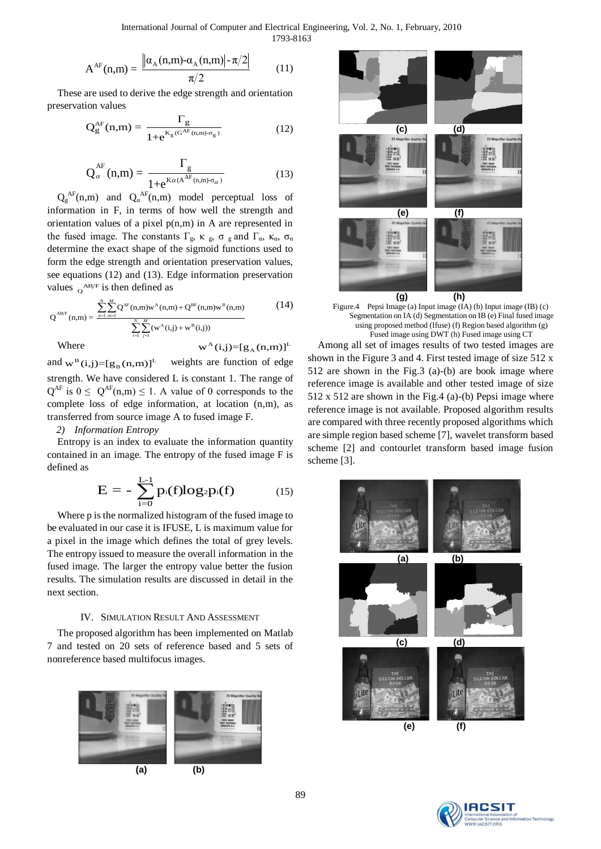International Journal of Computer and Electrical Engineering, Vol. 2, No. 1, February, 2010 1793-8163

$$
A^{AF}(n,m) = \frac{\left| \left| \alpha_A(n,m) - \alpha_A(n,m) \right| - \pi/2 \right|}{\pi/2}
$$
(11)

These are used to derive the edge strength and orientation preservation values

$$
Q_g^{AF}(n,m) = \frac{\Gamma_g}{1 + e^{K_g(G^{AF}(n,m) - \sigma_g)}}
$$
(12)

$$
Q_{\alpha}^{AF}(n,m) = \frac{\Gamma_g}{1 + e^{K\alpha(A^{AF}(n,m) - \sigma_{\alpha})}}
$$
(13)

 $Q_g^{AF}(n,m)$  and  $Q_\alpha^{AF}(n,m)$  model perceptual loss of information in F, in terms of how well the strength and orientation values of a pixel  $p(n,m)$  in A are represented in the fused image. The constants Γ<sub>g</sub>, κ<sub>g</sub>, σ<sub>g</sub> and Γ<sub>α</sub>, κ<sub>α</sub>, σ<sub>α</sub> determine the exact shape of the sigmoid functions used to form the edge strength and orientation preservation values, see equations (12) and (13). Edge information preservation

see equations (12) and (13). Edge information preservation  
values 
$$
{}_{Q}{}^{AB/F}
$$
 is then defined as  

$$
Q^{AB/F} \text{ (n,m)} = \frac{\sum_{n=1}^{N} \sum_{m=1}^{M} Q^{AF}(n,m) w^{A}(n,m) + Q^{BF}(n,m) w^{B}(n,m)}{\sum_{i=1}^{N} \sum_{j=1}^{M} (w^{A}(i,j) + w^{B}(i,j))}
$$
(14)

Where

$$
w^A(i,j) = [g_A(n,m)]^L
$$

and  $w^B(i,j) = [g_B(n,m)]^L$  weights are function of edge strength. We have considered L is constant 1. The range of  $Q^{AF}$  is  $0 \le Q^{AF}(n,m) \le 1$ . A value of 0 corresponds to the complete loss of edge information, at location (n,m), as transferred from source image A to fused image F.

# *2) Information Entropy*

Entropy is an index to evaluate the information quantity contained in an image. The entropy of the fused image F is defined as

$$
E = -\sum_{i=0}^{L-1} p_i(f) log_2 p_i(f) \qquad (15)
$$

Where p is the normalized histogram of the fused image to be evaluated in our case it is IFUSE, L is maximum value for a pixel in the image which defines the total of grey levels. The entropy issued to measure the overall information in the fused image. The larger the entropy value better the fusion results. The simulation results are discussed in detail in the next section.

# IV. SIMULATION RESULT AND ASSESSMENT

The proposed algorithm has been implemented on Matlab 7 and tested on 20 sets of reference based and 5 sets of nonreference based multifocus images.







Figure.4 Pepsi Image (a) Input image (IA) (b) Input image (IB) (c) Segmentation on IA (d) Segmentation on IB (e) Final fused image using proposed method (Ifuse) (f) Region based algorithm (g) Fused image using DWT (h) Fused image using CT

Among all set of images results of two tested images are shown in the Figure 3 and 4. First tested image of size 512 x 512 are shown in the Fig.3 (a)-(b) are book image where reference image is available and other tested image of size 512 x 512 are shown in the Fig.4 (a)-(b) Pepsi image where reference image is not available. Proposed algorithm results are compared with three recently proposed algorithms which are simple region based scheme [7], wavelet transform based scheme [2] and contourlet transform based image fusion scheme [3].



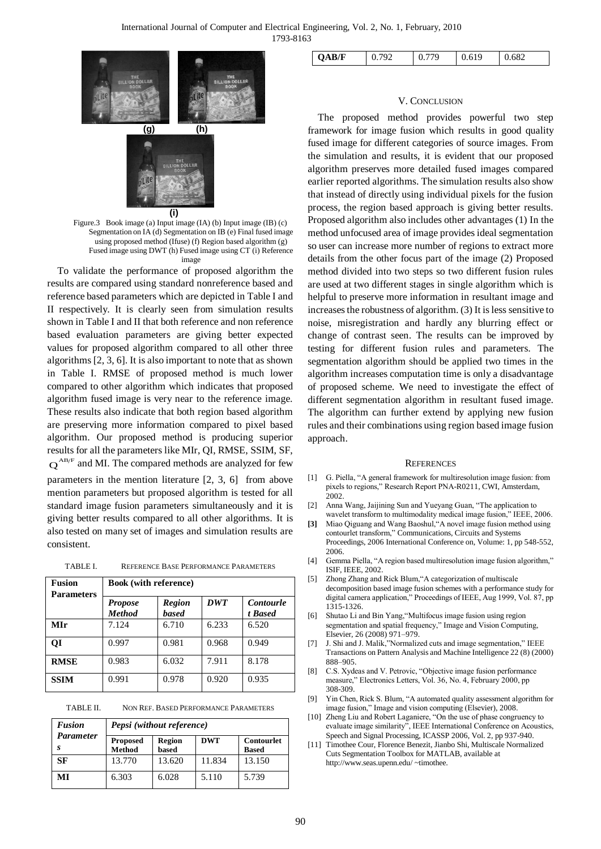| THE<br>BILLION DOLLAR<br>BOOK                                 |                               | THE<br>BILLION DOLLAR<br>BODK |
|---------------------------------------------------------------|-------------------------------|-------------------------------|
| <u>(g)</u>                                                    | (h)                           |                               |
| ite                                                           | THE<br>BILLION DOLLAR<br>BOOK |                               |
|                                                               | (i)                           |                               |
| Figure.3 Book image (a) Input image (IA) (b) Input image (IB) |                               |                               |

Figure.3 Book image (a) Input image (IA) (b) Input image (IB) (c) Segmentation on IA (d) Segmentation on IB (e) Final fused image using proposed method (Ifuse) (f) Region based algorithm (g) Fused image using DWT (h) Fused image using CT (i) Reference image

To validate the performance of proposed algorithm the results are compared using standard nonreference based and reference based parameters which are depicted in Table I and II respectively. It is clearly seen from simulation results shown in Table I and II that both reference and non reference based evaluation parameters are giving better expected values for proposed algorithm compared to all other three algorithms [2, 3, 6]. It is also important to note that as shown in Table I. RMSE of proposed method is much lower compared to other algorithm which indicates that proposed algorithm fused image is very near to the reference image. These results also indicate that both region based algorithm are preserving more information compared to pixel based algorithm. Our proposed method is producing superior results for all the parameters like MIr, QI, RMSE, SSIM, SF,  $Q^{AB/F}$  and MI. The compared methods are analyzed for few parameters in the mention literature [2, 3, 6] from above mention parameters but proposed algorithm is tested for all standard image fusion parameters simultaneously and it is

| TABLE I. |  | REFERENCE BASE PERFORMANCE PARAMETERS |  |
|----------|--|---------------------------------------|--|
|----------|--|---------------------------------------|--|

consistent.

giving better results compared to all other algorithms. It is also tested on many set of images and simulation results are

| <b>Fusion</b>     | <b>Book</b> (with reference)    |                               |            |                             |
|-------------------|---------------------------------|-------------------------------|------------|-----------------------------|
| <b>Parameters</b> | <b>Propose</b><br><b>Method</b> | <b>Region</b><br><b>based</b> | <b>DWT</b> | <b>Contourle</b><br>t Based |
| MIr               | 7.124                           | 6.710                         | 6.233      | 6.520                       |
| ОI                | 0.997                           | 0.981                         | 0.968      | 0.949                       |
| <b>RMSE</b>       | 0.983                           | 6.032                         | 7.911      | 8.178                       |
| <b>SSIM</b>       | 0.991                           | 0.978                         | 0.920      | 0.935                       |

TABLE II. NON REF. BASED PERFORMANCE PARAMETERS

| <b>Fusion</b>    | Pepsi (without reference)        |                        |            |                                   |
|------------------|----------------------------------|------------------------|------------|-----------------------------------|
| <b>Parameter</b> | <b>Proposed</b><br><b>Method</b> | <b>Region</b><br>based | <b>DWT</b> | <b>Contourlet</b><br><b>Based</b> |
| SF               | 13.770                           | 13.620                 | 11.834     | 13.150                            |
| MI               | 6.303                            | 6.028                  | 5.110      | 5.739                             |

#### V. CONCLUSION

The proposed method provides powerful two step framework for image fusion which results in good quality fused image for different categories of source images. From the simulation and results, it is evident that our proposed algorithm preserves more detailed fused images compared earlier reported algorithms. The simulation results also show that instead of directly using individual pixels for the fusion process, the region based approach is giving better results. Proposed algorithm also includes other advantages (1) In the method unfocused area of image provides ideal segmentation so user can increase more number of regions to extract more details from the other focus part of the image (2) Proposed method divided into two steps so two different fusion rules are used at two different stages in single algorithm which is helpful to preserve more information in resultant image and increases the robustness of algorithm. (3) It is less sensitive to noise, misregistration and hardly any blurring effect or change of contrast seen. The results can be improved by testing for different fusion rules and parameters. The segmentation algorithm should be applied two times in the algorithm increases computation time is only a disadvantage of proposed scheme. We need to investigate the effect of different segmentation algorithm in resultant fused image. The algorithm can further extend by applying new fusion rules and their combinations using region based image fusion approach.

#### **REFERENCES**

- [1] G. Piella, "A general framework for multiresolution image fusion: from pixels to regions," Research Report PNA-R0211, CWI, Amsterdam, 2002.
- [2] Anna Wang, Jaijining Sun and Yueyang Guan, "The application to wavelet transform to multimodality medical image fusion," IEEE, 2006.
- **[3]** Miao Qiguang and Wang Baoshul,"A novel image fusion method using contourlet transform,[" Communications, Circuits and Systems](http://ieeexplore.ieee.org/xpl/RecentCon.jsp?punumber=4063797)  [Proceedings, 2006 International Conference on,](http://ieeexplore.ieee.org/xpl/RecentCon.jsp?punumber=4063797) Volume: 1, pp 548-552, 2006.
- [4] Gemma Piella, "A region based multiresolution image fusion algorithm," ISIF, IEEE, 2002.
- [5] Zhong Zhang and Rick Blum,"A categorization of multiscale decomposition based image fusion schemes with a performance study for digital camera application," Proceedings of IEEE, Aug 1999, Vol. 87, pp 1315-1326.
- [6] Shutao Li and Bin Yang,"Multifocus image fusion using region segmentation and spatial frequency," Image and Vision Computing, Elsevier, 26 (2008) 971–979.
- [7] J. Shi and J. Malik,"Normalized cuts and image segmentation," IEEE Transactions on Pattern Analysis and Machine Intelligence 22 (8) (2000) 888–905.
- [8] C.S. Xydeas and V. Petrovic, "Objective image fusion performance measure," Electronics Letters, Vol. 36, No. 4, February 2000, pp 308-309.
- [9] Yin Chen, Rick S. Blum, "A automated quality assessment algorithm for image fusion," Image and vision computing (Elsevier), 2008.
- [10] Zheng Liu and Robert Laganiere, "On the use of phase congruency to evaluate image similarity", IEEE International Conference on Acoustics, Speech and Signal Processing, ICASSP 2006, Vol. 2, pp 937-940.
- [11] Timothee Cour, Florence Benezit, Jianbo Shi, Multiscale Normalized Cuts Segmentation Toolbox for MATLAB, available at http://www.seas.upenn.edu/ ~timothee.